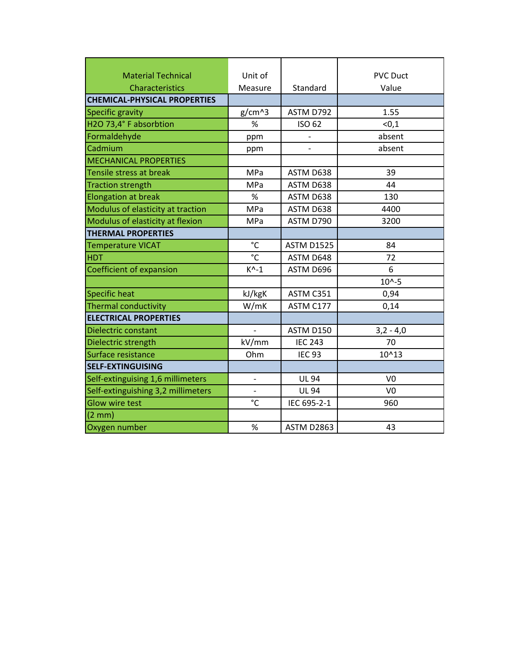| <b>Material Technical</b>           | Unit of                  |                   | <b>PVC Duct</b> |
|-------------------------------------|--------------------------|-------------------|-----------------|
| <b>Characteristics</b>              | Measure                  | Standard          | Value           |
| <b>CHEMICAL-PHYSICAL PROPERTIES</b> |                          |                   |                 |
| <b>Specific gravity</b>             | $g/cm^{3}$               | ASTM D792         | 1.55            |
| H2O 73,4° F absorbtion              | %                        | <b>ISO 62</b>     | < 0, 1          |
| Formaldehyde                        | ppm                      |                   | absent          |
| Cadmium                             | ppm                      |                   | absent          |
| <b>MECHANICAL PROPERTIES</b>        |                          |                   |                 |
| Tensile stress at break             | MPa                      | ASTM D638         | 39              |
| <b>Traction strength</b>            | MPa                      | ASTM D638         | 44              |
| <b>Elongation at break</b>          | $\%$                     | ASTM D638         | 130             |
| Modulus of elasticity at traction   | MPa                      | ASTM D638         | 4400            |
| Modulus of elasticity at flexion    | MPa                      | ASTM D790         | 3200            |
| <b>THERMAL PROPERTIES</b>           |                          |                   |                 |
| <b>Temperature VICAT</b>            | °C                       | <b>ASTM D1525</b> | 84              |
| <b>HDT</b>                          | °C                       | ASTM D648         | 72              |
| <b>Coefficient of expansion</b>     | $K^{\wedge} - 1$         | ASTM D696         | 6               |
|                                     |                          |                   | $10^{(-5)}$     |
| <b>Specific heat</b>                | kJ/kgK                   | ASTM C351         | 0,94            |
| <b>Thermal conductivity</b>         | W/mK                     | ASTM C177         | 0,14            |
| <b>ELECTRICAL PROPERTIES</b>        |                          |                   |                 |
| <b>Dielectric constant</b>          | $\overline{\phantom{0}}$ | ASTM D150         | $3,2 - 4,0$     |
| Dielectric strength                 | kV/mm                    | <b>IEC 243</b>    | 70              |
| Surface resistance                  | Ohm                      | <b>IEC 93</b>     | 10^13           |
| <b>SELF-EXTINGUISING</b>            |                          |                   |                 |
| Self-extinguising 1,6 millimeters   | $\qquad \qquad -$        | <b>UL 94</b>      | V <sub>0</sub>  |
| Self-extinguishing 3,2 millimeters  | $\overline{\phantom{0}}$ | <b>UL 94</b>      | V <sub>0</sub>  |
| <b>Glow wire test</b>               | $\overline{c}$           | IEC 695-2-1       | 960             |
| (2 mm)                              |                          |                   |                 |
| Oxygen number                       | %                        | <b>ASTM D2863</b> | 43              |